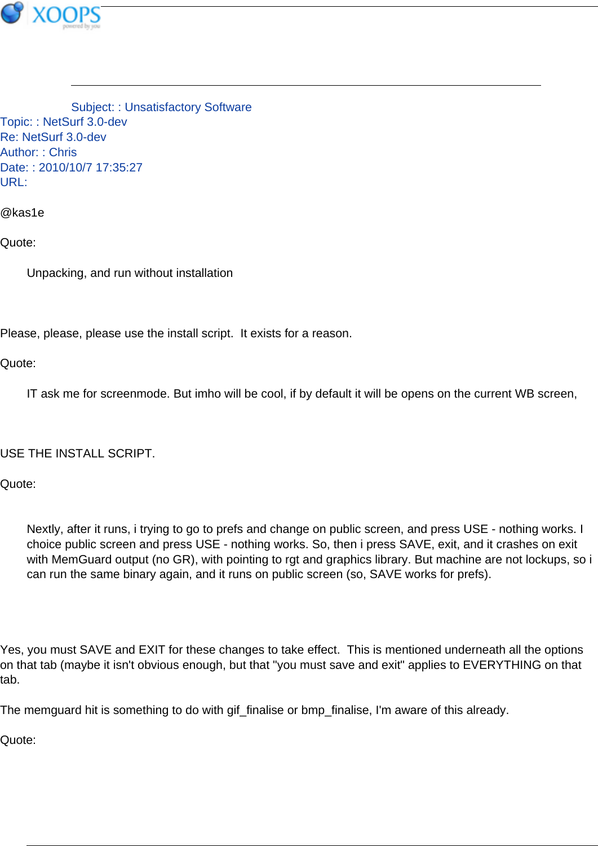

Subject: : Unsatisfactory Software Topic: : NetSurf 3.0-dev Re: NetSurf 3.0-dev Author: : Chris Date: : 2010/10/7 17:35:27 URL:

@kas1e

Quote:

Unpacking, and run without installation

Please, please, please use the install script. It exists for a reason.

Quote:

IT ask me for screenmode. But imho will be cool, if by default it will be opens on the current WB screen,

USE THE INSTALL SCRIPT.

Quote:

Nextly, after it runs, i trying to go to prefs and change on public screen, and press USE - nothing works. I choice public screen and press USE - nothing works. So, then i press SAVE, exit, and it crashes on exit with MemGuard output (no GR), with pointing to rgt and graphics library. But machine are not lockups, so i can run the same binary again, and it runs on public screen (so, SAVE works for prefs).

Yes, you must SAVE and EXIT for these changes to take effect. This is mentioned underneath all the options on that tab (maybe it isn't obvious enough, but that "you must save and exit" applies to EVERYTHING on that tab.

The memguard hit is something to do with gif\_finalise or bmp\_finalise, I'm aware of this already.

Quote: